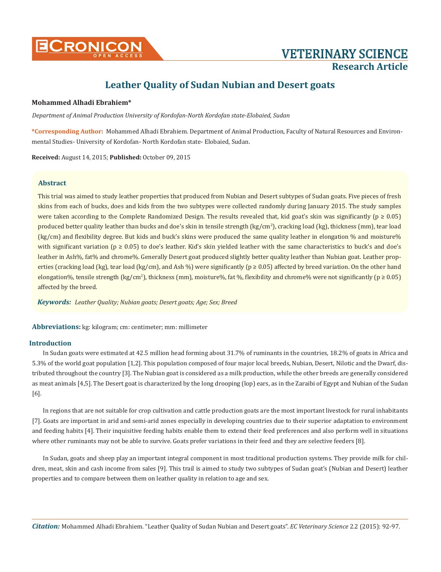

# **Leather Quality of Sudan Nubian and Desert goats**

# **Mohammed Alhadi Ebrahiem\***

*Department of Animal Production University of Kordofan-North Kordofan state-Elobaied, Sudan*

**\*Corresponding Author:** Mohammed Alhadi Ebrahiem. Department of Animal Production, Faculty of Natural Resources and Environmental Studies- University of Kordofan- North Kordofan state- Elobaied, Sudan.

**Received:** August 14, 2015; **Published:** October 09, 2015

# **Abstract**

This trial was aimed to study leather properties that produced from Nubian and Desert subtypes of Sudan goats. Five pieces of fresh skins from each of bucks, does and kids from the two subtypes were collected randomly during January 2015. The study samples were taken according to the Complete Randomized Design. The results revealed that, kid goat's skin was significantly ( $p \ge 0.05$ ) produced better quality leather than bucks and doe's skin in tensile strength (kg/cm<del>'</del>), cracking load (kg), thickness (mm), tear load (kg/cm) and flexibility degree. But kids and buck's skins were produced the same quality leather in elongation % and moisture% with significant variation ( $p \ge 0.05$ ) to doe's leather. Kid's skin yielded leather with the same characteristics to buck's and doe's leather in Ash%, fat% and chrome%. Generally Desert goat produced slightly better quality leather than Nubian goat. Leather properties (cracking load (kg), tear load (kg/cm), and Ash %) were significantly ( $p \ge 0.05$ ) affected by breed variation. On the other hand elongation%, tensile strength (kg/cm<sup>2</sup>), thickness (mm), moisture%, fat %, flexibility and chrome% were not significantly (p  $\geq 0.05$ ) affected by the breed.

*Keywords: Leather Quality; Nubian goats; Desert goats; Age; Sex; Breed*

**Abbreviations:** kg: kilogram; cm: centimeter; mm: millimeter

# **Introduction**

In Sudan goats were estimated at 42.5 million head forming about 31.7% of ruminants in the countries, 18.2% of goats in Africa and 5.3% of the world goat population [1,2]. This population composed of four major local breeds, Nubian, Desert, Nilotic and the Dwarf, distributed throughout the country [3]. The Nubian goat is considered as a milk production, while the other breeds are generally considered as meat animals [4,5]. The Desert goat is characterized by the long drooping (lop) ears, as in the Zaraibi of Egypt and Nubian of the Sudan [6].

In regions that are not suitable for crop cultivation and cattle production goats are the most important livestock for rural inhabitants [7]. Goats are important in arid and semi-arid zones especially in developing countries due to their superior adaptation to environment and feeding habits [4]. Their inquisitive feeding habits enable them to extend their feed preferences and also perform well in situations where other ruminants may not be able to survive. Goats prefer variations in their feed and they are selective feeders [8].

In Sudan, goats and sheep play an important integral component in most traditional production systems. They provide milk for children, meat, skin and cash income from sales [9]. This trail is aimed to study two subtypes of Sudan goat's (Nubian and Desert) leather properties and to compare between them on leather quality in relation to age and sex.

*Citation:* Mohammed Alhadi Ebrahiem. "Leather Quality of Sudan Nubian and Desert goats". *EC Veterinary Science* 2.2 (2015): 92-97.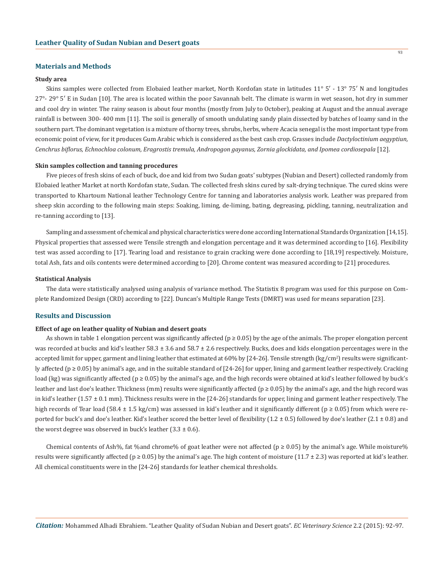## **Materials and Methods**

#### **Study area**

Skins samples were collected from Elobaied leather market, North Kordofan state in latitudes 11° 5′ - 13° 75′ N and longitudes 27°- 29° 5′ E in Sudan [10]. The area is located within the poor Savannah belt. The climate is warm in wet season, hot dry in summer and cool dry in winter. The rainy season is about four months (mostly from July to October), peaking at August and the annual average rainfall is between 300- 400 mm [11]. The soil is generally of smooth undulating sandy plain dissected by batches of loamy sand in the southern part. The dominant vegetation is a mixture of thorny trees, shrubs, herbs, where Acacia senegal is the most important type from economic point of view, for it produces Gum Arabic which is considered as the best cash crop. Grasses include *Dactyloctinium aegyptiun, Cenchrus biflorus, Echnochloa colonum, Eragrostis tremula, Andropogon gayanus, Zornia glockidata, and Ipomea cordiosepala* [12].

## **Skin samples collection and tanning procedures**

Five pieces of fresh skins of each of buck, doe and kid from two Sudan goats' subtypes (Nubian and Desert) collected randomly from Elobaied leather Market at north Kordofan state, Sudan. The collected fresh skins cured by salt-drying technique. The cured skins were transported to Khartoum National leather Technology Centre for tanning and laboratories analysis work. Leather was prepared from sheep skin according to the following main steps: Soaking, liming, de-liming, bating, degreasing, pickling, tanning, neutralization and re-tanning according to [13].

Sampling and assessment of chemical and physical characteristics were done according International Standards Organization [14,15]. Physical properties that assessed were Tensile strength and elongation percentage and it was determined according to [16]. Flexibility test was assed according to [17]. Tearing load and resistance to grain cracking were done according to [18,19] respectively. Moisture, total Ash, fats and oils contents were determined according to [20]. Chrome content was measured according to [21] procedures.

## **Statistical Analysis**

The data were statistically analysed using analysis of variance method. The Statistix 8 program was used for this purpose on Complete Randomized Design (CRD) according to [22]. Duncan's Multiple Range Tests (DMRT) was used for means separation [23].

#### **Results and Discussion**

#### **Effect of age on leather quality of Nubian and desert goats**

As shown in table 1 elongation percent was significantly affected ( $p \ge 0.05$ ) by the age of the animals. The proper elongation percent was recorded at bucks and kid's leather  $58.3 \pm 3.6$  and  $58.7 \pm 2.6$  respectively. Bucks, does and kids elongation percentages were in the accepted limit for upper, garment and lining leather that estimated at 60% by [24-26]. Tensile strength (kg/cm²) results were significantly affected (p ≥ 0.05) by animal's age, and in the suitable standard of [24-26] for upper, lining and garment leather respectively. Cracking load (kg) was significantly affected (p ≥ 0.05) by the animal's age, and the high records were obtained at kid's leather followed by buck's leather and last doe's leather. Thickness (mm) results were significantly affected ( $p \ge 0.05$ ) by the animal's age, and the high record was in kid's leather  $(1.57 \pm 0.1 \text{ mm})$ . Thickness results were in the  $[24-26]$  standards for upper, lining and garment leather respectively. The high records of Tear load (58.4 ± 1.5 kg/cm) was assessed in kid's leather and it significantly different ( $p \ge 0.05$ ) from which were reported for buck's and doe's leather. Kid's leather scored the better level of flexibility  $(1.2 \pm 0.5)$  followed by doe's leather  $(2.1 \pm 0.8)$  and the worst degree was observed in buck's leather  $(3.3 \pm 0.6)$ .

Chemical contents of Ash%, fat %and chrome% of goat leather were not affected ( $p \ge 0.05$ ) by the animal's age. While moisture% results were significantly affected ( $p \ge 0.05$ ) by the animal's age. The high content of moisture (11.7 ± 2.3) was reported at kid's leather. All chemical constituents were in the [24-26] standards for leather chemical thresholds.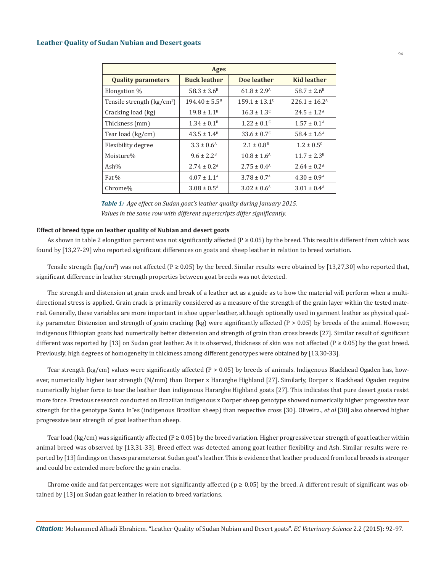| <b>Ages</b>                                      |                           |                             |                             |  |
|--------------------------------------------------|---------------------------|-----------------------------|-----------------------------|--|
| <b>Quality parameters</b>                        | <b>Buck leather</b>       | Doe leather                 | <b>Kid leather</b>          |  |
| Elongation %                                     | $58.3 \pm 3.6^B$          | $61.8 \pm 2.9^{\text{A}}$   | $58.7 \pm 2.6^{\circ}$      |  |
| Tensile strength $\frac{\text{kg}}{\text{cm}^2}$ | $194.40 \pm 5.5^B$        | $159.1 \pm 13.1^c$          | $226.1 \pm 16.2^{\text{A}}$ |  |
| Cracking load (kg)                               | $19.8 \pm 1.1^B$          | $16.3 \pm 1.3^c$            | $24.5 \pm 1.2^{\text{A}}$   |  |
| Thickness (mm)                                   | $1.34 \pm 0.1^{\text{B}}$ | $1.22 \pm 0.1$ <sup>c</sup> | $1.57 \pm 0.1^{\text{A}}$   |  |
| Tear load (kg/cm)                                | $43.5 \pm 1.4^B$          | $33.6 \pm 0.7^c$            | $58.4 \pm 1.6^{\text{A}}$   |  |
| Flexibility degree                               | $3.3 \pm 0.6^{\rm A}$     | $2.1 \pm 0.8^{\text{B}}$    | $1.2 \pm 0.5^c$             |  |
| Moisture%                                        | $9.6 \pm 2.2^{\rm B}$     | $10.8 \pm 1.6^{\text{A}}$   | $11.7 \pm 2.3^{\circ}$      |  |
| Ash $%$                                          | $2.74 \pm 0.2^{\rm A}$    | $2.75 \pm 0.4^{\text{A}}$   | $2.64 \pm 0.2^{\text{A}}$   |  |
| Fat %                                            | $4.07 \pm 1.1^{\text{A}}$ | $3.78 \pm 0.7^{\rm A}$      | $4.30 \pm 0.9^{\text{A}}$   |  |
| Chrome%                                          | $3.08 \pm 0.5^{\text{A}}$ | $3.02 \pm 0.6^{\text{A}}$   | $3.01 \pm 0.4^{\text{A}}$   |  |

*Table 1: Age effect on Sudan goat's leather quality during January 2015. Values in the same row with different superscripts differ significantly.* 

#### **Effect of breed type on leather quality of Nubian and desert goats**

As shown in table 2 elongation percent was not significantly affected ( $P \ge 0.05$ ) by the breed. This result is different from which was found by [13,27-29] who reported significant differences on goats and sheep leather in relation to breed variation.

Tensile strength (kg/cm<sup>2</sup>) was not affected (P  $\geq 0.05$ ) by the breed. Similar results were obtained by [13,27,30] who reported that, significant difference in leather strength properties between goat breeds was not detected.

The strength and distension at grain crack and break of a leather act as a guide as to how the material will perform when a multidirectional stress is applied. Grain crack is primarily considered as a measure of the strength of the grain layer within the tested material. Generally, these variables are more important in shoe upper leather, although optionally used in garment leather as physical quality parameter. Distension and strength of grain cracking (kg) were significantly affected (P > 0.05) by breeds of the animal. However, indigenous Ethiopian goats had numerically better distension and strength of grain than cross breeds [27]. Similar result of significant different was reported by [13] on Sudan goat leather. As it is observed, thickness of skin was not affected ( $P \ge 0.05$ ) by the goat breed. Previously, high degrees of homogeneity in thickness among different genotypes were obtained by [13,30-33].

Tear strength (kg/cm) values were significantly affected (P > 0.05) by breeds of animals. Indigenous Blackhead Ogaden has, however, numerically higher tear strength (N/mm) than Dorper x Hararghe Highland [27]. Similarly, Dorper x Blackhead Ogaden require numerically higher force to tear the leather than indigenous Hararghe Highland goats [27]. This indicates that pure desert goats resist more force. Previous research conducted on Brazilian indigenous x Dorper sheep genotype showed numerically higher progressive tear strength for the genotype Santa Inˆes (indigenous Brazilian sheep) than respective cross [30]. Oliveira., *et al* [30] also observed higher progressive tear strength of goat leather than sheep.

Tear load (kg/cm) was significantly affected (P  $\geq$  0.05) by the breed variation. Higher progressive tear strength of goat leather within animal breed was observed by [13,31-33]. Breed effect was detected among goat leather flexibility and Ash. Similar results were reported by [13] findings on theses parameters at Sudan goat's leather. This is evidence that leather produced from local breeds is stronger and could be extended more before the grain cracks.

Chrome oxide and fat percentages were not significantly affected ( $p \ge 0.05$ ) by the breed. A different result of significant was obtained by [13] on Sudan goat leather in relation to breed variations.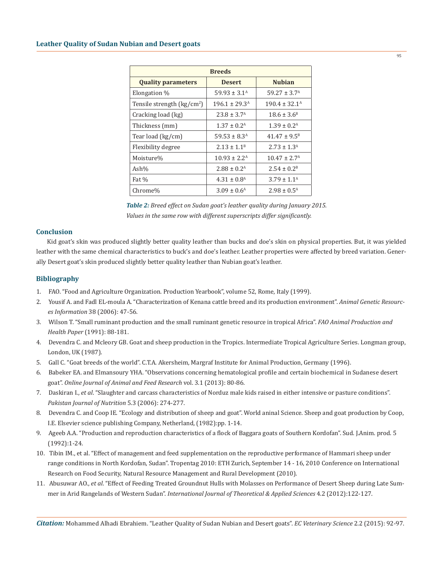| <b>Breeds</b>                      |                             |                             |  |  |
|------------------------------------|-----------------------------|-----------------------------|--|--|
| <b>Quality parameters</b>          | <b>Desert</b>               | <b>Nubian</b>               |  |  |
| Elongation %                       | $59.93 \pm 3.1^{\circ}$     | $59.27 \pm 3.7^{\text{A}}$  |  |  |
| Tensile strength $\frac{kg}{cm^2}$ | $196.1 \pm 29.3^{\text{A}}$ | $190.4 \pm 32.1^{\text{A}}$ |  |  |
| Cracking load (kg)                 | $23.8 \pm 3.7^{\rm A}$      | $18.6 \pm 3.6^{\circ}$      |  |  |
| Thickness (mm)                     | $1.37 \pm 0.2^{\text{A}}$   | $1.39 \pm 0.2^{\rm A}$      |  |  |
| Tear load (kg/cm)                  | $59.53 \pm 8.3^{\text{A}}$  | $41.47 \pm 9.5^B$           |  |  |
| Flexibility degree                 | $2.13 \pm 1.1^B$            | $2.73 \pm 1.3^{\rm A}$      |  |  |
| Moisture%                          | $10.93 \pm 2.2^{\text{A}}$  | $10.47 \pm 2.7^{\rm A}$     |  |  |
| Ash%                               | $2.88 \pm 0.2^{\text{A}}$   | $2.54 \pm 0.2^B$            |  |  |
| Fat %                              | $4.31 \pm 0.8$ <sup>A</sup> | $3.79 + 1.1^{\text{A}}$     |  |  |
| Chrome%                            | $3.09 \pm 0.6^{\rm A}$      | $2.98 \pm 0.5^{\text{A}}$   |  |  |

| <b>Table 2:</b> Breed effect on Sudan goat's leather quality during January 2015. |
|-----------------------------------------------------------------------------------|
| Values in the same row with different superscripts differ significantly.          |

## **Conclusion**

Kid goat's skin was produced slightly better quality leather than bucks and doe's skin on physical properties. But, it was yielded leather with the same chemical characteristics to buck's and doe's leather. Leather properties were affected by breed variation. Generally Desert goat's skin produced slightly better quality leather than Nubian goat's leather.

## **Bibliography**

- 1. FAO. "Food and Agriculture Organization. Production Yearbook", volume 52, Rome, Italy (1999).
- 2. Yousif A. and Fadl EL-moula A. "Characterization of Kenana cattle breed and its production environment". *Animal Genetic Resourc es Information* 38 (2006): 47-56.
- 3. Wilson T. "Small ruminant production and the small ruminant genetic resource in tropical Africa". *FAO Animal Production and Health Paper* (1991): 88-181.
- 4. Devendra C. and Mcleory GB. Goat and sheep production in the Tropics. Intermediate Tropical Agriculture Series. Longman group, London, UK (1987).
- 5. Gall C. "Goat breeds of the world". C.T.A. Akersheim, Margraf Institute for Animal Production, Germany (1996).
- 6. Babeker EA. and Elmansoury YHA. "Observations concerning hematological profile and certain biochemical in Sudanese desert goat". *Online Journal of Animal and Feed Research* vol. 3.1 (2013): 80-86.
- 7. Daskiran I., *et al*. "Slaughter and carcass characteristics of Norduz male kids raised in either intensive or pasture conditions".  *Pakistan Journal of Nutrition* 5.3 (2006): 274-277.
- 8. Devendra C. and Coop IE. "Ecology and distribution of sheep and goat". World aninal Science. Sheep and goat production by Coop, I.E. Elsevier science publishing Company, Netherland, (1982):pp. 1-14.
- 9. Ageeb A.A. "Production and reproduction characteristics of a flock of Baggara goats of Southern Kordofan". Sud. J.Anim. prod. 5 (1992):1-24.
- 10. Tibin IM., et al. "Effect of management and feed supplementation on the reproductive performance of Hammari sheep under range conditions in North Kordofan, Sudan". Tropentag 2010: ETH Zurich, September 14 - 16, 2010 Conference on International Research on Food Security, Natural Resource Management and Rural Development (2010).
- 11. Abusuwar AO., *et al*. "Effect of Feeding Treated Groundnut Hulls with Molasses on Performance of Desert Sheep during Late Sum mer in Arid Rangelands of Western Sudan". *International Journal of Theoretical & Applied Sciences* 4.2 (2012):122-127.

*Citation:* Mohammed Alhadi Ebrahiem. "Leather Quality of Sudan Nubian and Desert goats". *EC Veterinary Science* 2.2 (2015): 92-97.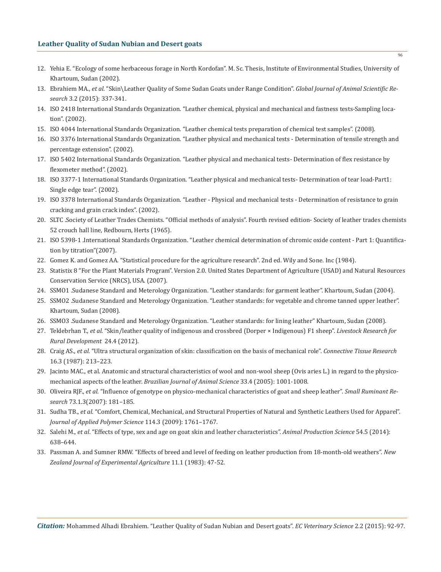# **Leather Quality of Sudan Nubian and Desert goats**

- 12. Yehia E. "Ecology of some herbaceous forage in North Kordofan". M. Sc. Thesis, Institute of Environmental Studies, University of Khartoum, Sudan (2002).
- 13. Ebrahiem MA., *et al*. "Skin\Leather Quality of Some Sudan Goats under Range Condition". *Global Journal of Animal Scientific Re search* 3.2 (2015): 337-341.
- 14. ISO 2418 International Standards Organization. "Leather chemical, physical and mechanical and fastness tests-Sampling loca tion". (2002).
- 15. ISO 4044 International Standards Organization. "Leather chemical tests preparation of chemical test samples". (2008).
- 16. ISO 3376 International Standards Organization. "Leather physical and mechanical tests Determination of tensile strength and percentage extension". (2002).
- 17. ISO 5402 International Standards Organization. "Leather physical and mechanical tests- Determination of flex resistance by flexometer method". (2002).
- 18. ISO 3377-1 International Standards Organization. "Leather physical and mechanical tests- Determination of tear load-Part1: Single edge tear". (2002).
- 19. ISO 3378 International Standards Organization. "Leather Physical and mechanical tests Determination of resistance to grain cracking and grain crack index". (2002).
- 20. SLTC .Society of Leather Trades Chemists. "Official methods of analysis". Fourth revised edition- Society of leather trades chemists 52 crouch hall line, Redbourn, Herts (1965).
- 21. ISO 5398-1 .International Standards Organization. "Leather chemical determination of chromic oxide content Part 1: Quantifica tion by titration"(2007).
- 22. Gomez K. and Gomez AA. "Statistical procedure for the agriculture research". 2nd ed. Wily and Sone. Inc (1984).
- 23. Statistix 8 "For the Plant Materials Program". Version 2.0. United States Department of Agriculture (USAD) and Natural Resources Conservation Service (NRCS), USA. (2007).
- 24. SSMO1 .Sudanese Standard and Meterology Organization. "Leather standards: for garment leather". Khartoum, Sudan (2004).
- 25. SSMO2 .Sudanese Standard and Meterology Organization. "Leather standards: for vegetable and chrome tanned upper leather". Khartoum, Sudan (2008).
- 26. SSMO3 .Sudanese Standard and Meterology Organization. "Leather standards: for lining leather" Khartoum, Sudan (2008).
- 27. Teklebrhan T., *et al*. "Skin/leather quality of indigenous and crossbred (Dorper × Indigenous) F1 sheep". *Livestock Research for Rural Development* 24.4 (2012).
- 28. Craig AS., *et al*. "Ultra structural organization of skin: classification on the basis of mechanical role". *Connective Tissue Research* 16.3 (1987): 213–223.
- 29. Jacinto MAC., et al. Anatomic and structural characteristics of wool and non-wool sheep (Ovis aries L.) in regard to the physico mechanical aspects of the leather. *Brazilian Journal of Animal Science* 33.4 (2005): 1001-1008.
- 30. Oliveira RJF., *et al*. "Influence of genotype on physico-mechanical characteristics of goat and sheep leather". *Small Ruminant Re search* 73.1.3(2007): 181–185.
- 31. Sudha TB., *et al*. "Comfort, Chemical, Mechanical, and Structural Properties of Natural and Synthetic Leathers Used for Apparel".  *Journal of Applied Polymer Science* 114.3 (2009): 1761–1767.
- 32. Salehi M., *et al*. "Effects of type, sex and age on goat skin and leather characteristics". *Animal Production Science* 54.5 (2014): 638–644.
- 33. Passman A. and Sumner RMW. "Effects of breed and level of feeding on leather production from 18-month-old weathers". *New Zealand Journal of Experimental Agriculture* 11.1 (1983): 47-52.